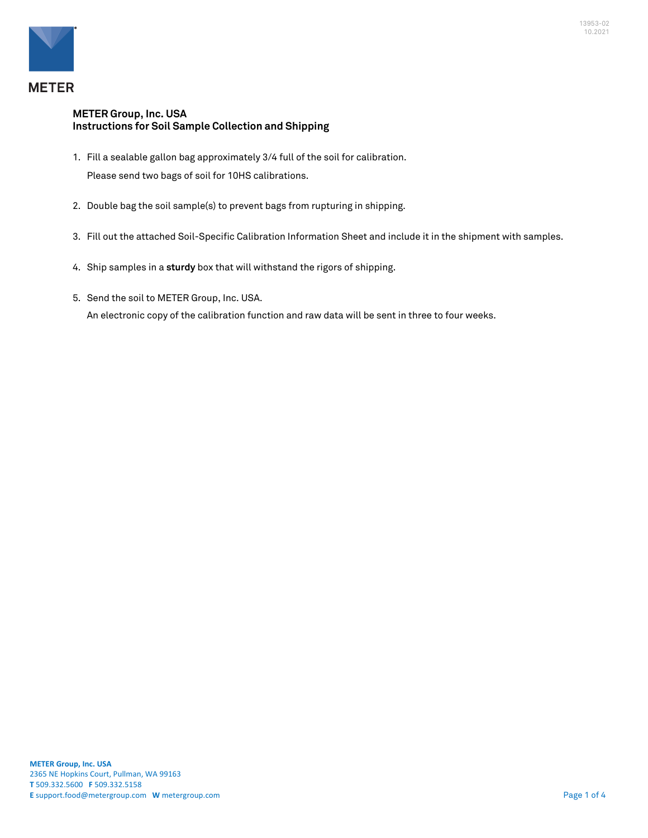

## **METER Group, Inc. USA Instructions for Soil Sample Collection and Shipping**

- 1. Fill a sealable gallon bag approximately 3/4 full of the soil for calibration. Please send two bags of soil for 10HS calibrations.
- 2. Double bag the soil sample(s) to prevent bags from rupturing in shipping.
- 3. Fill out the attached Soil-Specific Calibration Information Sheet and include it in the shipment with samples.
- 4. Ship samples in a **sturdy** box that will withstand the rigors of shipping.
- 5. Send the soil to METER Group, Inc. USA. An electronic copy of the calibration function and raw data will be sent in three to four weeks.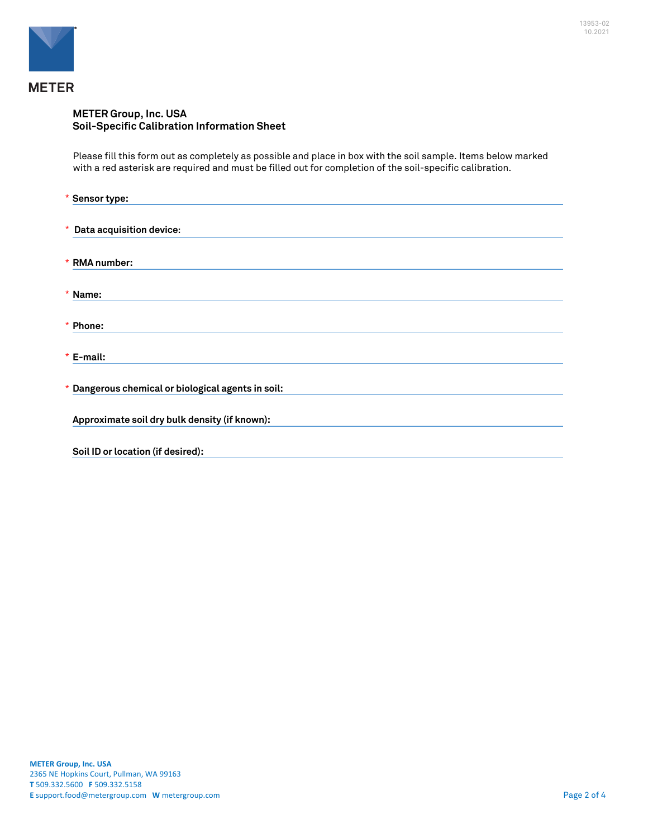

## **METER Group, Inc. USA Soil-Specific Calibration Information Sheet**

Please fill this form out as completely as possible and place in box with the soil sample. Items below marked with a red asterisk are required and must be filled out for completion of the soil-specific calibration.

| * Sensor type:                                     |  |
|----------------------------------------------------|--|
|                                                    |  |
| * Data acquisition device:                         |  |
| * RMA number:                                      |  |
| * Name:                                            |  |
| * Phone:                                           |  |
| $*$ E-mail:                                        |  |
| * Dangerous chemical or biological agents in soil: |  |
| Approximate soil dry bulk density (if known):      |  |
| Soil ID or location (if desired):                  |  |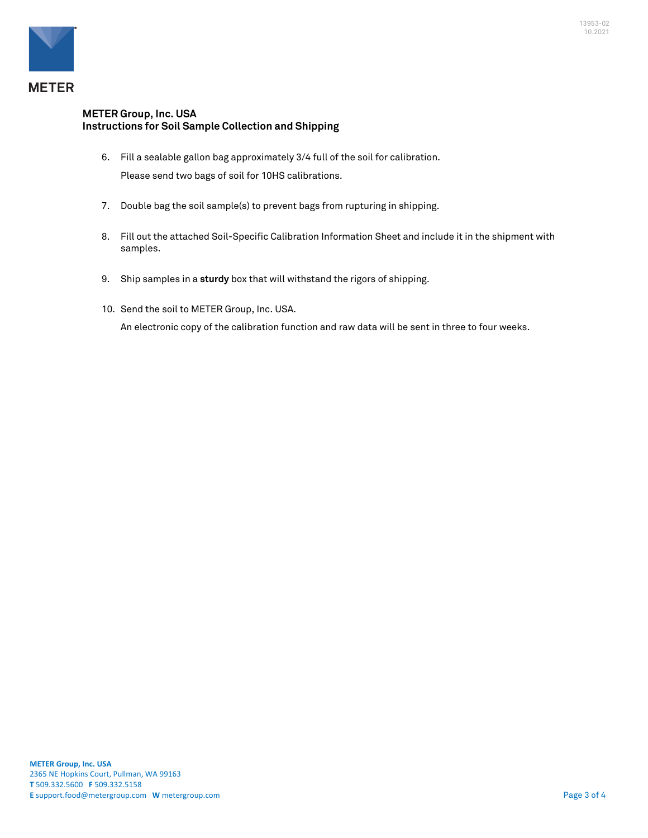

## **METER Group, Inc. USA Instructions for Soil Sample Collection and Shipping**

- 6. Fill a sealable gallon bag approximately 3/4 full of the soil for calibration. Please send two bags of soil for 10HS calibrations.
- 7. Double bag the soil sample(s) to prevent bags from rupturing in shipping.
- 8. Fill out the attached Soil-Specific Calibration Information Sheet and include it in the shipment with samples.
- 9. Ship samples in a **sturdy** box that will withstand the rigors of shipping.
- 10. Send the soil to METER Group, Inc. USA.

An electronic copy of the calibration function and raw data will be sent in three to four weeks.